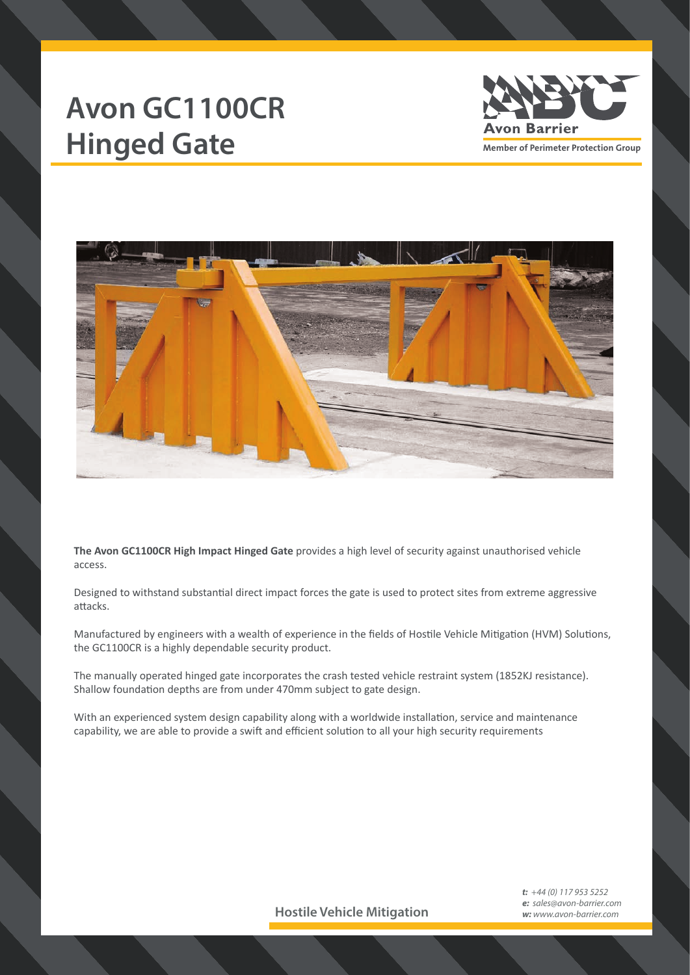## **Avon GC1100CR** Hinged Gate **Manual Avon Barrier**





**The Avon GC1100CR High Impact Hinged Gate** provides a high level of security against unauthorised vehicle access.

Designed to withstand substantial direct impact forces the gate is used to protect sites from extreme aggressive attacks.

Manufactured by engineers with a wealth of experience in the fields of Hostile Vehicle Mitigation (HVM) Solutions, the GC1100CR is a highly dependable security product.

The manually operated hinged gate incorporates the crash tested vehicle restraint system (1852KJ resistance). Shallow foundation depths are from under 470mm subject to gate design.

With an experienced system design capability along with a worldwide installation, service and maintenance capability, we are able to provide a swift and efficient solution to all your high security requirements

**Hostile Vehicle Mitigation**

*t: +44 (0) 117 953 5252 e: sales@avon-barrier.com w: www.avon-barrier.com*